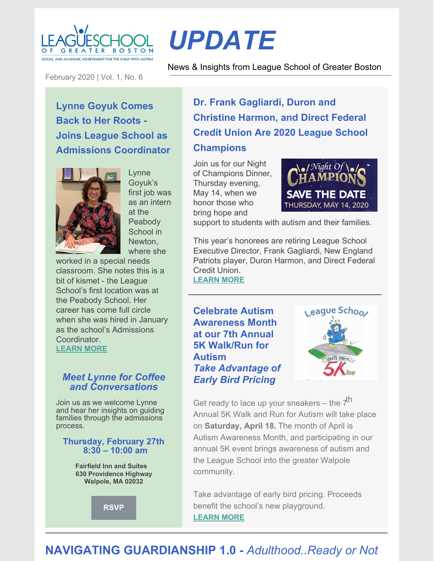

February 2020 | Vol. 1, No. 6

# *UPDATE*

News & Insights from League School of Greater Boston

**Lynne Goyuk Comes Back to Her Roots - Joins League School as Admissions Coordinator**



Lynne Goyuk's first job was as an intern at the **Peabody** School in Newton, where she

worked in a special needs classroom. She notes this is a bit of kismet - the League School's first location was at the Peabody School. Her career has come full circle when she was hired in January as the school's Admissions Coordinator. **[LEARN](https://leagueschool.org/lynne-goyuk-comes-back-to-her-roots-joins-league-school-as-admissions-coordinator/) MORE**

## *Meet Lynne for Coffee and Conversations*

Join us as we welcome Lynne and hear her insights on guiding families through the admissions process.

#### **Thursday, February 27th 8:30 – 10:00 am**

**Fairfield Inn and Suites 630 Providence Highway Walpole, MA 02032**



**Dr. Frank Gagliardi, Duron and Christine Harmon, and Direct Federal Credit Union Are 2020 League School Champions**

Join us for our Night of Champions Dinner, Thursday evening, May 14, when we honor those who bring hope and



support to students with autism and their families.

This year's honorees are retiring League School Executive Director, Frank Gagliardi, New England Patriots player, Duron Harmon, and Direct Federal Credit Union.

**[LEARN](https://leagueschool.org/frank-gagliardi-duron-and-christine-harmon-and-direct-federal-credit-union-are-2020-league-school-champions/) MORE**

**Celebrate Autism Awareness Month at our 7th Annual 5K Walk/Run for Autism** *Take Advantage of Early Bird Pricing*



Get ready to lace up your sneakers – the  $\vec{\tau}^{\mathsf{h}}$ Annual 5K Walk and Run for Autism will take place on **Saturday, April 18.** The month of April is Autism Awareness Month, and participating in our annual 5K event brings awareness of autism and the League School into the greater Walpole community.

Take advantage of early bird pricing. Proceeds benefit the school's new playground. **[LEARN](https://leagueschool.org/celebrate-autism-awareness-month-at-our-7th-annual-5k-walk-run-for-autism-take-advantage-of-early-bird-pricing/) MORE**

# **NAVIGATING GUARDIANSHIP 1.0 -** *Adulthood..Ready or Not*